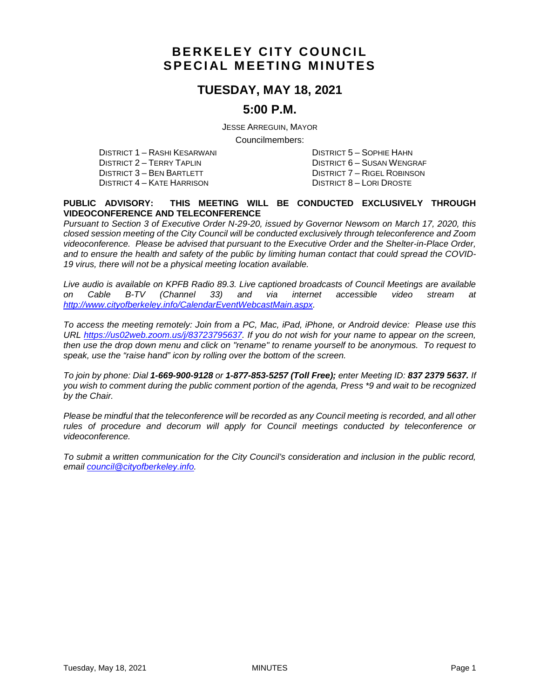# **BERKELEY CITY COUNCIL SPECIAL MEETING MINUTES**

## **TUESDAY, MAY 18, 2021**

## **5:00 P.M.**

JESSE ARREGUIN, MAYOR

Councilmembers:

DISTRICT 1 – RASHI KESARWANI DISTRICT 5 – SOPHIE HAHN DISTRICT 2 – TERRY TAPLIN DISTRICT 6 – SUSAN WENGRAF DISTRICT 4 – KATE HARRISON

DISTRICT 7 – RIGEL ROBINSON<br>DISTRICT 8 – LORI DROSTE

#### **PUBLIC ADVISORY: THIS MEETING WILL BE CONDUCTED EXCLUSIVELY THROUGH VIDEOCONFERENCE AND TELECONFERENCE**

*Pursuant to Section 3 of Executive Order N-29-20, issued by Governor Newsom on March 17, 2020, this closed session meeting of the City Council will be conducted exclusively through teleconference and Zoom videoconference. Please be advised that pursuant to the Executive Order and the Shelter-in-Place Order, and to ensure the health and safety of the public by limiting human contact that could spread the COVID-19 virus, there will not be a physical meeting location available.* 

*Live audio is available on KPFB Radio 89.3. Live captioned broadcasts of Council Meetings are available on Cable B-TV (Channel 33) and via internet accessible video stream at [http://www.cityofberkeley.info/CalendarEventWebcastMain.aspx.](http://www.cityofberkeley.info/CalendarEventWebcastMain.aspx)*

*To access the meeting remotely: Join from a PC, Mac, iPad, iPhone, or Android device: Please use this URL [https://us02web.zoom.us/j/83723795637.](https://us02web.zoom.us/j/83723795637) If you do not wish for your name to appear on the screen, then use the drop down menu and click on "rename" to rename yourself to be anonymous. To request to speak, use the "raise hand" icon by rolling over the bottom of the screen.* 

*To join by phone: Dial 1-669-900-9128 or 1-877-853-5257 (Toll Free); enter Meeting ID: 837 2379 5637. If you wish to comment during the public comment portion of the agenda, Press \*9 and wait to be recognized by the Chair.*

*Please be mindful that the teleconference will be recorded as any Council meeting is recorded, and all other rules of procedure and decorum will apply for Council meetings conducted by teleconference or videoconference.*

*To submit a written communication for the City Council's consideration and inclusion in the public record, email [council@cityofberkeley.info.](mailto:council@cityofberkeley.info)*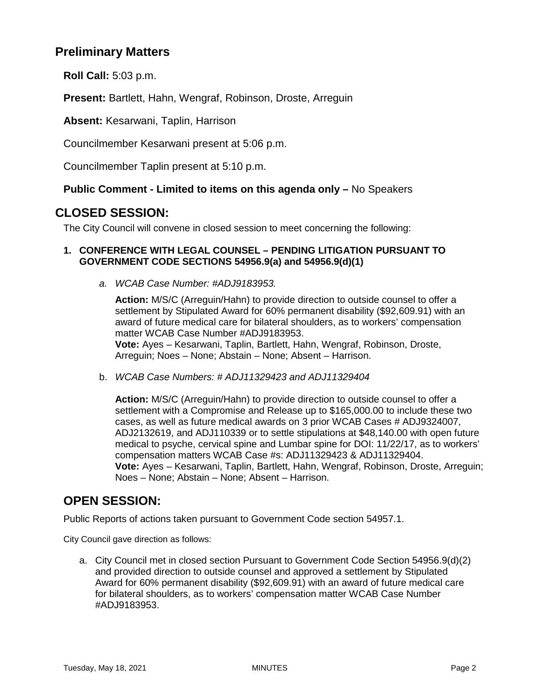## **Preliminary Matters**

**Roll Call:** 5:03 p.m.

**Present:** Bartlett, Hahn, Wengraf, Robinson, Droste, Arreguin

**Absent:** Kesarwani, Taplin, Harrison

Councilmember Kesarwani present at 5:06 p.m.

Councilmember Taplin present at 5:10 p.m.

#### **Public Comment - Limited to items on this agenda only –** No Speakers

## **CLOSED SESSION:**

The City Council will convene in closed session to meet concerning the following:

#### **1. CONFERENCE WITH LEGAL COUNSEL – PENDING LITIGATION PURSUANT TO GOVERNMENT CODE SECTIONS 54956.9(a) and 54956.9(d)(1)**

*a. WCAB Case Number: #ADJ9183953.*

**Action:** M/S/C (Arreguin/Hahn) to provide direction to outside counsel to offer a settlement by Stipulated Award for 60% permanent disability (\$92,609.91) with an award of future medical care for bilateral shoulders, as to workers' compensation matter WCAB Case Number #ADJ9183953. **Vote:** Ayes – Kesarwani, Taplin, Bartlett, Hahn, Wengraf, Robinson, Droste,

Arreguin; Noes – None; Abstain – None; Absent – Harrison.

b. *WCAB Case Numbers: # ADJ11329423 and ADJ11329404*

**Action:** M/S/C (Arreguin/Hahn) to provide direction to outside counsel to offer a settlement with a Compromise and Release up to \$165,000.00 to include these two cases, as well as future medical awards on 3 prior WCAB Cases # ADJ9324007, ADJ2132619, and ADJ110339 or to settle stipulations at \$48,140.00 with open future medical to psyche, cervical spine and Lumbar spine for DOI: 11/22/17, as to workers' compensation matters WCAB Case #s: ADJ11329423 & ADJ11329404. **Vote:** Ayes – Kesarwani, Taplin, Bartlett, Hahn, Wengraf, Robinson, Droste, Arreguin; Noes – None; Abstain – None; Absent – Harrison.

## **OPEN SESSION:**

Public Reports of actions taken pursuant to Government Code section 54957.1.

City Council gave direction as follows:

a. City Council met in closed section Pursuant to Government Code Section 54956.9(d)(2) and provided direction to outside counsel and approved a settlement by Stipulated Award for 60% permanent disability (\$92,609.91) with an award of future medical care for bilateral shoulders, as to workers' compensation matter WCAB Case Number #ADJ9183953.